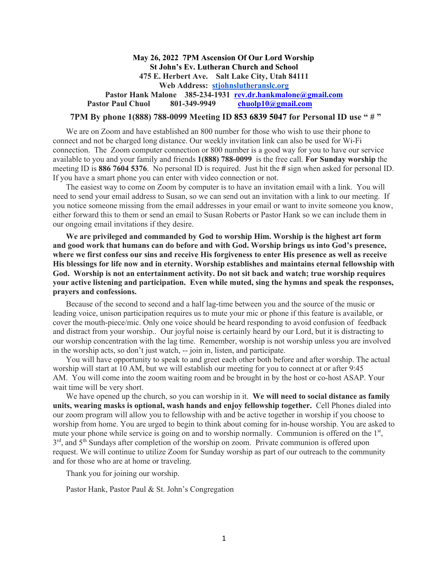### **May 26, 2022 7PM Ascension Of Our Lord Worship St John's Ev. Lutheran Church and School 475 E. Herbert Ave. Salt Lake City, Utah 84111 Web Address: stjohnslutheranslc.org** Pastor Hank Malone 385-234-1931 rev.dr.hankmalone@gmail.com  **Pastor Paul Chuol 801-349-9949 chuolp10@gmail.com**

#### **7PM By phone 1(888) 788-0099 Meeting ID 853 6839 5047 for Personal ID use " # "**

We are on Zoom and have established an 800 number for those who wish to use their phone to connect and not be charged long distance. Our weekly invitation link can also be used for Wi-Fi connection. The Zoom computer connection or 800 number is a good way for you to have our service available to you and your family and friends **1(888) 788-0099** is the free call. **For Sunday worship** the meeting ID is **886 7604 5376**. No personal ID is required. Just hit the **#** sign when asked for personal ID. If you have a smart phone you can enter with video connection or not.

The easiest way to come on Zoom by computer is to have an invitation email with a link. You will need to send your email address to Susan, so we can send out an invitation with a link to our meeting. If you notice someone missing from the email addresses in your email or want to invite someone you know, either forward this to them or send an email to Susan Roberts or Pastor Hank so we can include them in our ongoing email invitations if they desire.

**We are privileged and commanded by God to worship Him. Worship is the highest art form and good work that humans can do before and with God. Worship brings us into God's presence, where we first confess our sins and receive His forgiveness to enter His presence as well as receive His blessings for life now and in eternity. Worship establishes and maintains eternal fellowship with God. Worship is not an entertainment activity. Do not sit back and watch; true worship requires your active listening and participation. Even while muted, sing the hymns and speak the responses, prayers and confessions.**

Because of the second to second and a half lag-time between you and the source of the music or leading voice, unison participation requires us to mute your mic or phone if this feature is available, or cover the mouth-piece/mic. Only one voice should be heard responding to avoid confusion of feedback and distract from your worship.. Our joyful noise is certainly heard by our Lord, but it is distracting to our worship concentration with the lag time. Remember, worship is not worship unless you are involved in the worship acts, so don't just watch, -- join in, listen, and participate.

You will have opportunity to speak to and greet each other both before and after worship. The actual worship will start at 10 AM, but we will establish our meeting for you to connect at or after 9:45 AM. You will come into the zoom waiting room and be brought in by the host or co-host ASAP. Your wait time will be very short.

We have opened up the church, so you can worship in it. **We will need to social distance as family units, wearing masks is optional, wash hands and enjoy fellowship together.** Cell Phones dialed into our zoom program will allow you to fellowship with and be active together in worship if you choose to worship from home. You are urged to begin to think about coming for in-house worship. You are asked to mute your phone while service is going on and to worship normally. Communion is offered on the 1<sup>st</sup>, 3<sup>rd</sup>, and 5<sup>th</sup> Sundays after completion of the worship on zoom. Private communion is offered upon request. We will continue to utilize Zoom for Sunday worship as part of our outreach to the community and for those who are at home or traveling.

Thank you for joining our worship.

Pastor Hank, Pastor Paul & St. John's Congregation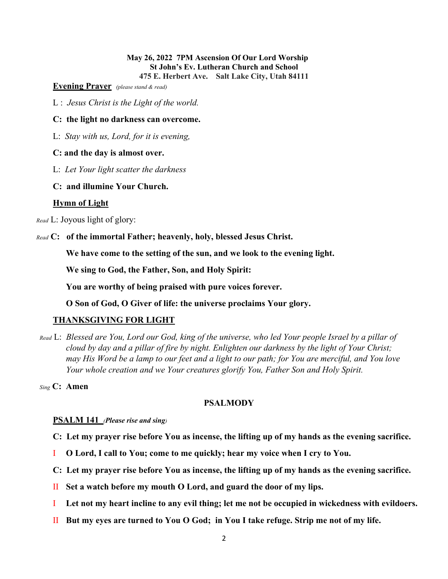### **May 26, 2022 7PM Ascension Of Our Lord Worship St John's Ev. Lutheran Church and School 475 E. Herbert Ave. Salt Lake City, Utah 84111**

**Evening Prayer** *(please stand & read)*

L : *Jesus Christ is the Light of the world.*

### **C: the light no darkness can overcome.**

L: *Stay with us, Lord, for it is evening,*

### **C: and the day is almost over.**

- L: *Let Your light scatter the darkness*
- **C: and illumine Your Church.**

### **Hymn of Light**

*Read* L: Joyous light of glory:

*Read* **C: of the immortal Father; heavenly, holy, blessed Jesus Christ.** 

**We have come to the setting of the sun, and we look to the evening light.** 

**We sing to God, the Father, Son, and Holy Spirit:**

**You are worthy of being praised with pure voices forever.**

**O Son of God, O Giver of life: the universe proclaims Your glory.**

### **THANKSGIVING FOR LIGHT**

*Read* L: *Blessed are You, Lord our God, king of the universe, who led Your people Israel by a pillar of cloud by day and a pillar of fire by night. Enlighten our darkness by the light of Your Christ; may His Word be a lamp to our feet and a light to our path; for You are merciful, and You love Your whole creation and we Your creatures glorify You, Father Son and Holy Spirit.*

*Sing* **C: Amen**

### **PSALMODY**

### **PSALM 141** *(Please rise and sing)*

- **C: Let my prayer rise before You as incense, the lifting up of my hands as the evening sacrifice.**
- I **O Lord, I call to You; come to me quickly; hear my voice when I cry to You.**
- **C: Let my prayer rise before You as incense, the lifting up of my hands as the evening sacrifice.**
- II **Set a watch before my mouth O Lord, and guard the door of my lips.**
- I **Let not my heart incline to any evil thing; let me not be occupied in wickedness with evildoers.**
- II **But my eyes are turned to You O God; in You I take refuge. Strip me not of my life.**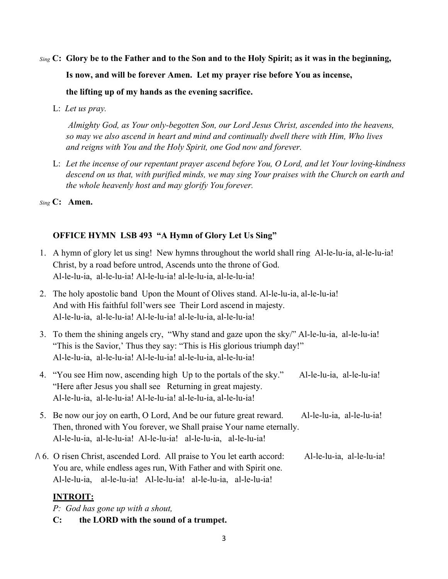- *Sing* **C: Glory be to the Father and to the Son and to the Holy Spirit; as it was in the beginning, Is now, and will be forever Amen. Let my prayer rise before You as incense, the lifting up of my hands as the evening sacrifice.**
	- L: *Let us pray.*

*Almighty God, as Your only-begotten Son, our Lord Jesus Christ, ascended into the heavens, so may we also ascend in heart and mind and continually dwell there with Him, Who lives and reigns with You and the Holy Spirit, one God now and forever.*

L: *Let the incense of our repentant prayer ascend before You, O Lord, and let Your loving-kindness descend on us that, with purified minds, we may sing Your praises with the Church on earth and the whole heavenly host and may glorify You forever.*

*Sing* **C: Amen.**

## **OFFICE HYMN LSB 493 "A Hymn of Glory Let Us Sing"**

- 1. A hymn of glory let us sing! New hymns throughout the world shall ring Al-le-lu-ia, al-le-lu-ia! Christ, by a road before untrod, Ascends unto the throne of God. Al-le-lu-ia, al-le-lu-ia! Al-le-lu-ia! al-le-lu-ia, al-le-lu-ia!
- 2. The holy apostolic band Upon the Mount of Olives stand. Al-le-lu-ia, al-le-lu-ia! And with His faithful foll'wers see Their Lord ascend in majesty. Al-le-lu-ia, al-le-lu-ia! Al-le-lu-ia! al-le-lu-ia, al-le-lu-ia!
- 3. To them the shining angels cry, "Why stand and gaze upon the sky/" Al-le-lu-ia, al-le-lu-ia! "This is the Savior,' Thus they say: "This is His glorious triumph day!" Al-le-lu-ia, al-le-lu-ia! Al-le-lu-ia! al-le-lu-ia, al-le-lu-ia!
- 4. "You see Him now, ascending high Up to the portals of the sky." Al-le-lu-ia, al-le-lu-ia! "Here after Jesus you shall see Returning in great majesty. Al-le-lu-ia, al-le-lu-ia! Al-le-lu-ia! al-le-lu-ia, al-le-lu-ia!
- 5. Be now our joy on earth, O Lord, And be our future great reward. Al-le-lu-ia, al-le-lu-ia! Then, throned with You forever, we Shall praise Your name eternally. Al-le-lu-ia, al-le-lu-ia! Al-le-lu-ia! al-le-lu-ia, al-le-lu-ia!
- **/\** 6. O risen Christ, ascended Lord. All praise to You let earth accord: Al-le-lu-ia, al-le-lu-ia! You are, while endless ages run, With Father and with Spirit one. Al-le-lu-ia, al-le-lu-ia! Al-le-lu-ia! al-le-lu-ia, al-le-lu-ia!

## **INTROIT:**

*P: God has gone up with a shout,* 

**C: the LORD with the sound of a trumpet.**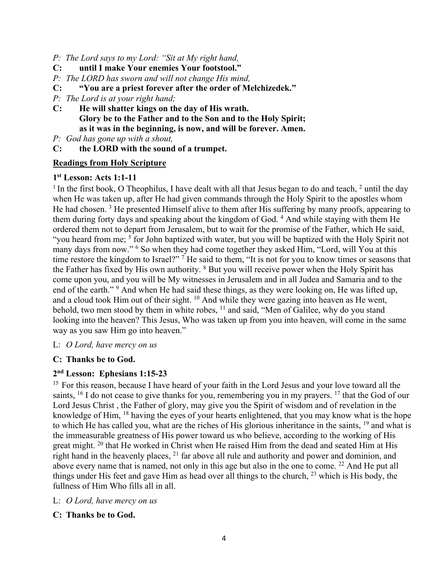- *P: The Lord says to my Lord: "Sit at My right hand,*
- **C: until I make Your enemies Your footstool."**
- *P: The LORD has sworn and will not change His mind,*
- **C: "You are a priest forever after the order of Melchizedek."**
- *P: The Lord is at your right hand;*
- **C: He will shatter kings on the day of His wrath. Glory be to the Father and to the Son and to the Holy Spirit; as it was in the beginning, is now, and will be forever. Amen.**
- *P: God has gone up with a shout,*
- **C: the LORD with the sound of a trumpet.**

### **Readings from Holy Scripture**

### **1st Lesson: Acts 1:1-11**

<sup>1</sup> In the first book, O Theophilus, I have dealt with all that Jesus began to do and teach,  $\frac{2}{3}$  until the day when He was taken up, after He had given commands through the Holy Spirit to the apostles whom He had chosen.<sup>3</sup> He presented Himself alive to them after His suffering by many proofs, appearing to them during forty days and speaking about the kingdom of God. 4 And while staying with them He ordered them not to depart from Jerusalem, but to wait for the promise of the Father, which He said, "you heard from me; <sup>5</sup> for John baptized with water, but you will be baptized with the Holy Spirit not many days from now." <sup>6</sup> So when they had come together they asked Him, "Lord, will You at this time restore the kingdom to Israel?"<sup>7</sup> He said to them, "It is not for you to know times or seasons that the Father has fixed by His own authority. 8 But you will receive power when the Holy Spirit has come upon you, and you will be My witnesses in Jerusalem and in all Judea and Samaria and to the end of the earth."<sup>9</sup> And when He had said these things, as they were looking on, He was lifted up, and a cloud took Him out of their sight. <sup>10</sup> And while they were gazing into heaven as He went, behold, two men stood by them in white robes, <sup>11</sup> and said, "Men of Galilee, why do you stand looking into the heaven? This Jesus, Who was taken up from you into heaven, will come in the same way as you saw Him go into heaven."

L: *O Lord, have mercy on us*

### **C: Thanks be to God.**

# **2nd Lesson: Ephesians 1:15-23**

<sup>15</sup> For this reason, because I have heard of your faith in the Lord Jesus and your love toward all the saints, <sup>16</sup> I do not cease to give thanks for you, remembering you in my prayers. <sup>17</sup> that the God of our Lord Jesus Christ , the Father of glory, may give you the Spirit of wisdom and of revelation in the knowledge of Him, 18 having the eyes of your hearts enlightened, that you may know what is the hope to which He has called you, what are the riches of His glorious inheritance in the saints, 19 and what is the immeasurable greatness of His power toward us who believe, according to the working of His great might. <sup>20</sup> that He worked in Christ when He raised Him from the dead and seated Him at His right hand in the heavenly places, <sup>21</sup> far above all rule and authority and power and dominion, and above every name that is named, not only in this age but also in the one to come. 22 And He put all things under His feet and gave Him as head over all things to the church, 23 which is His body, the fullness of Him Who fills all in all.

- L: *O Lord, have mercy on us*
- **C: Thanks be to God.**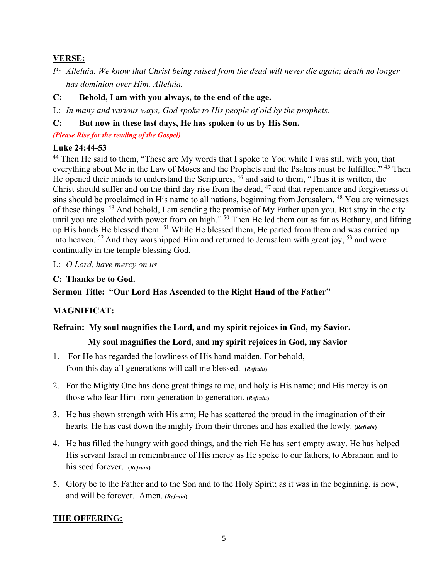## **VERSE:**

- *P: Alleluia. We know that Christ being raised from the dead will never die again; death no longer has dominion over Him. Alleluia.*
- **C: Behold, I am with you always, to the end of the age.**

L: *In many and various ways, God spoke to His people of old by the prophets.*

## **C: But now in these last days, He has spoken to us by His Son.**

*(Please Rise for the reading of the Gospel)*

## **Luke 24:44-53**

<sup>44</sup> Then He said to them, "These are My words that I spoke to You while I was still with you, that everything about Me in the Law of Moses and the Prophets and the Psalms must be fulfilled." 45 Then He opened their minds to understand the Scriptures,  $46$  and said to them, "Thus it is written, the Christ should suffer and on the third day rise from the dead, 47 and that repentance and forgiveness of sins should be proclaimed in His name to all nations, beginning from Jerusalem. 48 You are witnesses of these things. 48 And behold, I am sending the promise of My Father upon you. But stay in the city until you are clothed with power from on high." <sup>50</sup> Then He led them out as far as Bethany, and lifting up His hands He blessed them. 51 While He blessed them, He parted from them and was carried up into heaven.  $52$  And they worshipped Him and returned to Jerusalem with great joy,  $53$  and were continually in the temple blessing God.

### L: *O Lord, have mercy on us*

## **C: Thanks be to God.**

**Sermon Title: "Our Lord Has Ascended to the Right Hand of the Father"**

## **MAGNIFICAT:**

## **Refrain: My soul magnifies the Lord, and my spirit rejoices in God, my Savior.**

## **My soul magnifies the Lord, and my spirit rejoices in God, my Savior**

- 1. For He has regarded the lowliness of His hand-maiden. For behold, from this day all generations will call me blessed. **(***Refrain***)**
- 2. For the Mighty One has done great things to me, and holy is His name; and His mercy is on those who fear Him from generation to generation. **(***Refrain***)**
- 3. He has shown strength with His arm; He has scattered the proud in the imagination of their hearts. He has cast down the mighty from their thrones and has exalted the lowly. **(***Refrain***)**
- 4. He has filled the hungry with good things, and the rich He has sent empty away. He has helped His servant Israel in remembrance of His mercy as He spoke to our fathers, to Abraham and to his seed forever. **(***Refrain***)**
- 5. Glory be to the Father and to the Son and to the Holy Spirit; as it was in the beginning, is now, and will be forever. Amen. **(***Refrain***)**

## **THE OFFERING:**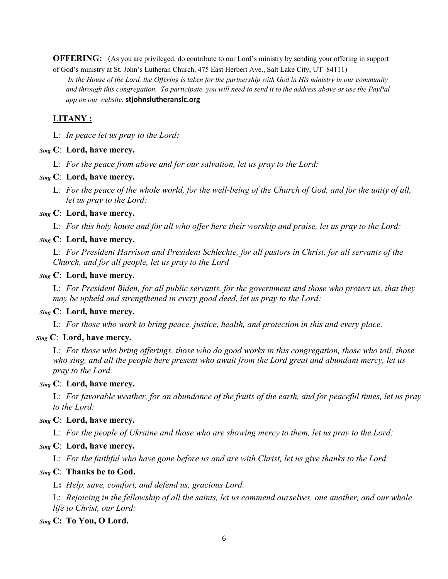**OFFERING:** (As you are privileged, do contribute to our Lord's ministry by sending your offering in support of God's ministry at St. John's Lutheran Church, 475 East Herbert Ave., Salt Lake City, UT 84111)

*In the House of the Lord, the Offering is taken for the partnership with God in His ministry in our community and through this congregation. To participate, you will need to send it to the address above or use the PayPal app on our website.* **stjohnslutheranslc.org**

### **LITANY :**

**L**: *In peace let us pray to the Lord;*

#### *Sing* **C**: **Lord, have mercy.**

**L**: *For the peace from above and for our salvation, let us pray to the Lord:*

#### *Sing* **C**: **Lord, have mercy.**

**L**: *For the peace of the whole world, for the well-being of the Church of God, and for the unity of all, let us pray to the Lord:*

### *Sing* **C**: **Lord, have mercy.**

**L**: *For this holy house and for all who offer here their worship and praise, let us pray to the Lord:* 

### *Sing* **C**: **Lord, have mercy.**

**L**: *For President Harrison and President Schlechte, for all pastors in Christ, for all servants of the Church, and for all people, let us pray to the Lord*

### *Sing* **C**: **Lord, have mercy.**

**L**: *For President Biden, for all public servants, for the government and those who protect us, that they may be upheld and strengthened in every good deed, let us pray to the Lord:*

### *Sing* **C**: **Lord, have mercy.**

**L**: *For those who work to bring peace, justice, health, and protection in this and every place,* 

### *Sing* **C**: **Lord, have mercy.**

**L**: *For those who bring offerings, those who do good works in this congregation, those who toil, those who sing, and all the people here present who await from the Lord great and abundant mercy, let us pray to the Lord:* 

### *Sing* **C**: **Lord, have mercy.**

**L**: *For favorable weather, for an abundance of the fruits of the earth, and for peaceful times, let us pray to the Lord:*

#### *Sing* **C**: **Lord, have mercy.**

**L**: *For the people of Ukraine and those who are showing mercy to them, let us pray to the Lord:* 

#### *Sing* **C**: **Lord, have mercy.**

**L**: *For the faithful who have gone before us and are with Christ, let us give thanks to the Lord:* 

#### *Sing* **C**: **Thanks be to God.**

**L:** *Help, save, comfort, and defend us, gracious Lord.*

L: *Rejoicing in the fellowship of all the saints, let us commend ourselves, one another, and our whole life to Christ, our Lord:*

#### *Sing* **C: To You, O Lord.**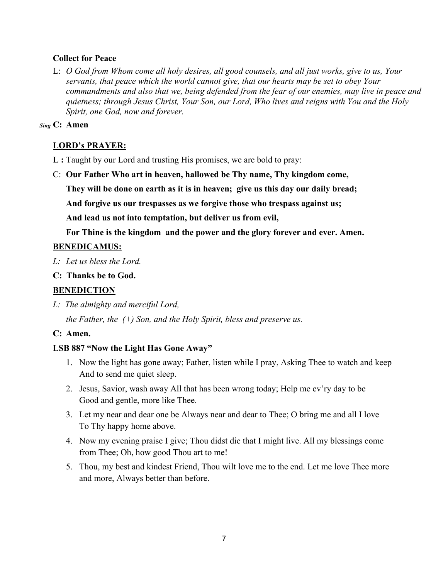### **Collect for Peace**

L: *O God from Whom come all holy desires, all good counsels, and all just works, give to us, Your servants, that peace which the world cannot give, that our hearts may be set to obey Your commandments and also that we, being defended from the fear of our enemies, may live in peace and quietness; through Jesus Christ, Your Son, our Lord, Who lives and reigns with You and the Holy Spirit, one God, now and forever.*

### *Sing* **C: Amen**

## **LORD's PRAYER:**

- **L :** Taught by our Lord and trusting His promises, we are bold to pray:
- C: **Our Father Who art in heaven, hallowed be Thy name, Thy kingdom come, They will be done on earth as it is in heaven; give us this day our daily bread; And forgive us our trespasses as we forgive those who trespass against us;**

**And lead us not into temptation, but deliver us from evil,**

**For Thine is the kingdom and the power and the glory forever and ever. Amen.**

## **BENEDICAMUS:**

- *L: Let us bless the Lord.*
- **C: Thanks be to God.**

## **BENEDICTION**

*L: The almighty and merciful Lord,* 

*the Father, the (+) Son, and the Holy Spirit, bless and preserve us.*

### **C: Amen.**

### **LSB 887 "Now the Light Has Gone Away"**

- 1. Now the light has gone away; Father, listen while I pray, Asking Thee to watch and keep And to send me quiet sleep.
- 2. Jesus, Savior, wash away All that has been wrong today; Help me ev'ry day to be Good and gentle, more like Thee.
- 3. Let my near and dear one be Always near and dear to Thee; O bring me and all I love To Thy happy home above.
- 4. Now my evening praise I give; Thou didst die that I might live. All my blessings come from Thee; Oh, how good Thou art to me!
- 5. Thou, my best and kindest Friend, Thou wilt love me to the end. Let me love Thee more and more, Always better than before.